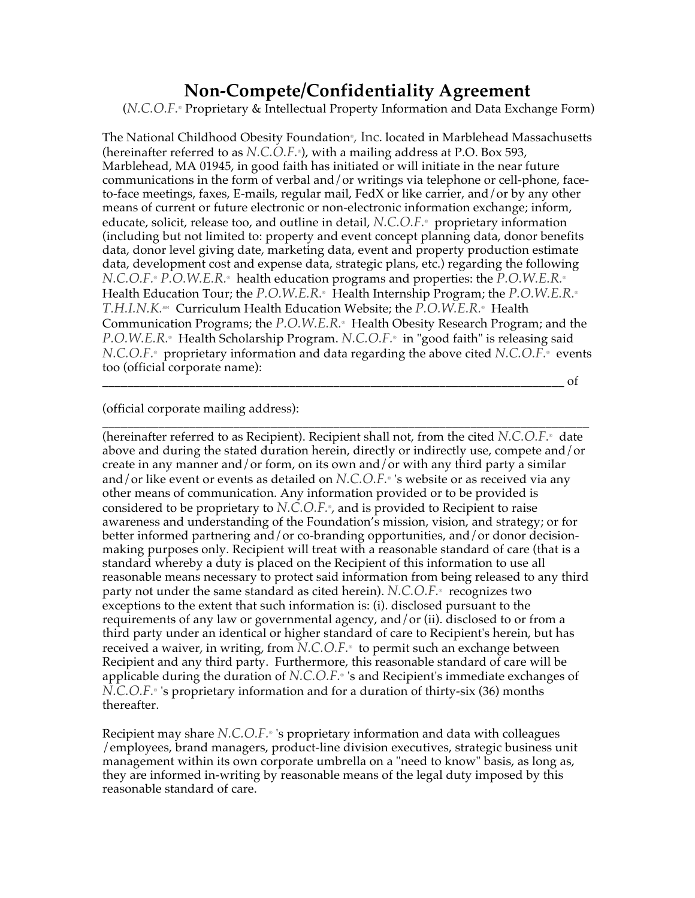## **Non-Compete/Confidentiality Agreement**

(*N.C.O.F.®* Proprietary & Intellectual Property Information and Data Exchange Form)

The National Childhood Obesity Foundation*® ,* Inc. located in Marblehead Massachusetts (hereinafter referred to as *N.C.O.F.®* ), with a mailing address at P.O. Box 593, Marblehead, MA 01945, in good faith has initiated or will initiate in the near future communications in the form of verbal and/or writings via telephone or cell-phone, faceto-face meetings, faxes, E-mails, regular mail, FedX or like carrier, and/or by any other means of current or future electronic or non-electronic information exchange; inform, educate, solicit, release too, and outline in detail, *N.C.O.F.®* proprietary information (including but not limited to: property and event concept planning data, donor benefits data, donor level giving date, marketing data, event and property production estimate data, development cost and expense data, strategic plans, etc.) regarding the following *N.C.O.F.® P.O.W.E.R.®* health education programs and properties: the *P.O.W.E.R.®* Health Education Tour; the *P.O.W.E.R.®* Health Internship Program; the *P.O.W.E.R.® T.H.I.N.K.SM* Curriculum Health Education Website; the *P.O.W.E.R.®* Health Communication Programs; the *P.O.W.E.R.®* Health Obesity Research Program; and the *P.O.W.E.R.®* Health Scholarship Program. *N.C.O.F.®* in "good faith" is releasing said *N.C.O.F.®* proprietary information and data regarding the above cited *N.C.O.F.®* events too (official corporate name):

\_\_\_\_\_\_\_\_\_\_\_\_\_\_\_\_\_\_\_\_\_\_\_\_\_\_\_\_\_\_\_\_\_\_\_\_\_\_\_\_\_\_\_\_\_\_\_\_\_\_\_\_\_\_\_\_\_\_\_\_\_\_\_\_\_\_\_\_\_\_\_\_\_\_ of

(official corporate mailing address):

(hereinafter referred to as Recipient). Recipient shall not, from the cited *N.C.O.F.®* date above and during the stated duration herein, directly or indirectly use, compete and/or create in any manner and/or form, on its own and/or with any third party a similar and/or like event or events as detailed on *N.C.O.F.®* 's website or as received via any other means of communication. Any information provided or to be provided is considered to be proprietary to *N.C.O.F.®* , and is provided to Recipient to raise awareness and understanding of the Foundation's mission, vision, and strategy; or for better informed partnering and/or co-branding opportunities, and/or donor decisionmaking purposes only. Recipient will treat with a reasonable standard of care (that is a standard whereby a duty is placed on the Recipient of this information to use all reasonable means necessary to protect said information from being released to any third party not under the same standard as cited herein). *N.C.O.F.®* recognizes two exceptions to the extent that such information is: (i). disclosed pursuant to the requirements of any law or governmental agency, and/or  $(ii)$ . disclosed to or from a third party under an identical or higher standard of care to Recipient's herein, but has received a waiver, in writing, from *N.C.O.F.®* to permit such an exchange between Recipient and any third party. Furthermore, this reasonable standard of care will be applicable during the duration of *N.C.O.F.®* 's and Recipient's immediate exchanges of *N.C.O.F.®* 's proprietary information and for a duration of thirty-six (36) months thereafter.

\_\_\_\_\_\_\_\_\_\_\_\_\_\_\_\_\_\_\_\_\_\_\_\_\_\_\_\_\_\_\_\_\_\_\_\_\_\_\_\_\_\_\_\_\_\_\_\_\_\_\_\_\_\_\_\_\_\_\_\_\_\_\_\_\_\_\_\_\_\_\_\_\_\_\_\_\_\_

Recipient may share *N.C.O.F.®* 's proprietary information and data with colleagues /employees, brand managers, product-line division executives, strategic business unit management within its own corporate umbrella on a "need to know" basis, as long as, they are informed in-writing by reasonable means of the legal duty imposed by this reasonable standard of care.